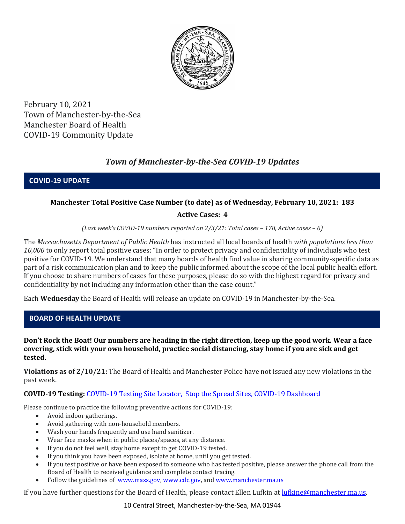

February 10, 2021 Town of Manchester-by-the-Sea Manchester Board of Health COVID-19 Community Update

# *Town of Manchester-by-the-Sea COVID-19 Updates*

**COVID-19 UPDATE**

### **Manchester Total Positive Case Number (to date) as of Wednesday, February 10, 2021: 183**

### **Active Cases: 4**

*(Last week's COVID-19 numbers reported on 2/3/21: Total cases – 178, Active cases – 6)*

The *Massachusetts Department of Public Health* has instructed all local boards of health *with populations less than 10,000* to only report total positive cases: "In order to protect privacy and confidentiality of individuals who test positive for COVID-19. We understand that many boards of health find value in sharing community-specific data as part of a risk communication plan and to keep the public informed about the scope of the local public health effort. If you choose to share numbers of cases for these purposes, please do so with the highest regard for privacy and confidentiality by not including any information other than the case count."

Each **Wednesday** the Board of Health will release an update on COVID-19 in Manchester-by-the-Sea.

### **BOARD OF HEALTH UPDATE**

**Don't Rock the Boat! Our numbers are heading in the right direction, keep up the good work. Wear a face covering, stick with your own household, practice social distancing, stay home if you are sick and get tested.** 

**Violations as of 2/10/21:** The Board of Health and Manchester Police have not issued any new violations in the past week.

### **COVID-19 Testing:** [COVID-19 Testing Site Locator,](https://memamaps.maps.arcgis.com/apps/webappviewer/index.html?id=eba3f0395451430b9f631cb095febf13) [Stop the Spread Sites,](https://www.mass.gov/info-details/stop-the-spread) [COVID-19 Dashboard](https://www.mass.gov/info-details/covid-19-response-reporting#covid-19-interactive-data-dashboard-)

Please continue to practice the following preventive actions for COVID-19:

- Avoid indoor gatherings.
- Avoid gathering with non-household members.
- Wash your hands frequently and use hand sanitizer.
- Wear face masks when in public places/spaces, at any distance.
- If you do not feel well, stay home except to get COVID-19 tested.
- If you think you have been exposed, isolate at home, until you get tested.
- If you test positive or have been exposed to someone who has tested positive, please answer the phone call from the Board of Health to received guidance and complete contact tracing.
- Follow the guidelines of [www.mass.gov,](http://www.mass.gov/) [www.cdc.gov,](https://www.cdc.gov/) an[d www.manchester.ma.us](http://www.manchester.ma.us/)

If you have further questions for the Board of Health, please contact Ellen Lufkin at [lufkine@manchester.ma.us.](mailto:lufkine@manchester.ma.us)

10 Central Street, Manchester-by-the-Sea, MA 01944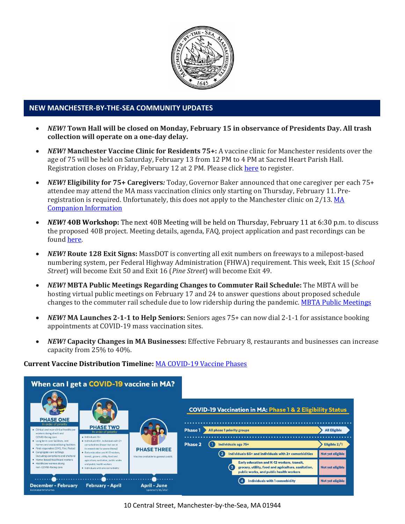

#### **NEW MANCHESTER-BY-THE-SEA COMMUNITY UPDATES**

- *NEW!* **Town Hall will be closed on Monday, February 15 in observance of Presidents Day. All trash collection will operate on a one-day delay.**
- *NEW!* **Manchester Vaccine Clinic for Residents 75+:** A vaccine clinic for Manchester residents over the age of 75 will be held on Saturday, February 13 from 12 PM to 4 PM at Sacred Heart Parish Hall. Registration closes on Friday, February 12 at 2 PM. Please clic[k here](http://manchester.ma.us/DocumentCenter/View/3667/COVID-19-Vaccine-Press-Release-2521) to register.
- *NEW!* **Eligibility for 75+ Caregivers***:* Today, Governor Baker announced that one caregiver per each 75+ attendee may attend the MA mass vaccination clinics only starting on Thursday, February 11. Preregistration is required. Unfortunately, this does not apply to the Manchester clinic on 2/13. MA [Companion Information](http://manchester.ma.us/DocumentCenter/View/3674/COVID19-Vaccine-75-plus-Companion-Information-2102021)
- *NEW!* **40B Workshop:** The next 40B Meeting will be held on Thursday, February 11 at 6:30 p.m. to discuss the proposed 40B project. Meeting details, agenda, FAQ, project application and past recordings can be found [here.](http://manchester.ma.us/729/40B)
- *NEW!* **Route 128 Exit Signs:** MassDOT is converting all exit numbers on freeways to a milepost-based numbering system, per Federal Highway Administration (FHWA) requirement. This week, Exit 15 (*School Street*) will become Exit 50 and Exit 16 (*Pine Street*) will become Exit 49.
- *NEW!* **MBTA Public Meetings Regarding Changes to Commuter Rail Schedule:** The MBTA will be hosting virtual public meetings on February 17 and 24 to answer questions about proposed schedule changes to the commuter rail schedule due to low ridership during the pandemic[. MBTA Public Meetings](http://manchester.ma.us/DocumentCenter/View/3673/Forging-Ahead-Spring-2021-Public-Meetings-Flyer)
- *NEW!* **MA Launches 2-1-1 to Help Seniors:** Seniors ages 75+ can now dial 2-1-1 for assistance booking appointments at COVID-19 mass vaccination sites.
- *NEW!* **Capacity Changes in MA Businesses:** Effective February 8, restaurants and businesses can increase capacity from 25% to 40%.

#### **Current Vaccine Distribution Timeline:** [MA COVID-19 Vaccine Phases](https://www.mass.gov/info-details/massachusetts-covid-19-vaccination-phases)

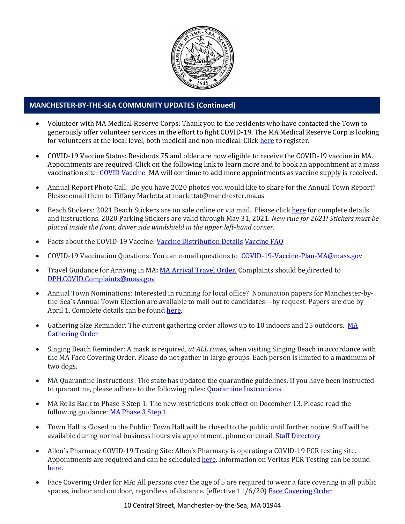

## **MANCHESTER-BY-THE-SEA COMMUNITY UPDATES (Continued)**

- Volunteer with MA Medical Reserve Corps: Thank you to the residents who have contacted the Town to generously offer volunteer services in the effort to fight COVID-19. The MA Medical Reserve Corp is looking for volunteers at the local level, both medical and non-medical. Clic[k here](https://l.facebook.com/l.php?u=https%3A%2F%2Fwww.mamedicalreservecorps.org%2Fcovid19%3Ffbclid%3DIwAR1O_7U70XMSPe_kbb689S7zAJbCTYavpqNhIz9Ce2s-encj1Mlz3fOmjYI&h=AT3a2b6zxupFiw2RA_9kLVFDLZwmtblukw3wwe3pvVN6YWtLrkwxEyW8Z8S97uuzXDiNt1x4DYp7DeOoXm1U98GjBQQufV4R5eC5sYpFoqMi6iMDgiQu2THu_d0XoA0BnNUMg336NM-KtUxjtQ&__tn__=-UK-R&c%5b0%5d=AT2anP_ULhxU-U55t7AxrMiNTXfNIJnoicfzRyKEGzk_70Dtxb6ttNSKpwftDkeovmenW9ksjPEmhjSrMDjZ_NEMD2Upi_WEREnPIZBLU-8cgapV1WMi5HvUjS0InF_0K4aE4PXV6bei0V79lnY9jSo89LgXHVCMF9u0-PYa4j6cBMOzl7xPt7oB2_WGVQ8cDciW8b9U) to register.
- COVID-19 Vaccine Status: Residents 75 and older are now eligible to receive the COVID-19 vaccine in MA. Appointments are required. Click on the following link to learn more and to book an appointment at a mass vaccination site[: COVID Vaccine](https://www.mass.gov/info-details/massachusetts-covid-19-vaccine-information) MA will continue to add more appointments as vaccine supply is received.
- Annual Report Photo Call: Do you have 2020 photos you would like to share for the Annual Town Report? Please email them to Tiffany Marletta at marlettat@manchester.ma.us
- Beach Stickers: 2021 Beach Stickers are on sale online or via mail. Please clic[k here](http://manchester.ma.us/252/Beach-Resident-Parking-Stickers) for complete details and instructions. 2020 Parking Stickers are valid through May 31, 2021. *New rule for 2021! Stickers must be placed inside the front, driver side windshield in the upper left-hand corner.*
- Facts about the COVID-19 Vaccine: [Vaccine Distribution Details](http://ma-manchesterbythesea.civicplus.com/DocumentCenter/View/3629/StopCOVID19_Need-to-Know_Final_English) [Vaccine FAQ](https://www.mass.gov/info-details/covid-19-vaccine-frequently-asked-questions)
- COVID-19 Vaccination Questions: You can e-mail questions to [COVID-19-Vaccine-Plan-MA@mass.gov](file:///C:/Users/marlettat/Desktop/Public%20Relations/2021/COVID-19-Vaccine-Plan-MA@mass.gov)
- Travel Guidance for Arriving in MA**:** [MA Arrival Travel Order.](https://www.mass.gov/guidance/guidance-for-travelers-arriving-in-the-commonwealth-of-massachusetts) Complaints should be directed to [DPH.COVID.Complaints@mass.gov](mailto:DPH.COVID.Complaints@mass.gov)
- Annual Town Nominations: Interested in running for local office? Nomination papers for Manchester-bythe-Sea's Annual Town Election are available to mail out to candidates—by request. Papers are due by April 1. Complete details can be found [here.](http://ma-manchesterbythesea.civicplus.com/DocumentCenter/View/3628/PRESS-RELEASE-FOR-NOMINATION-PAPERS-2021)
- Gathering Size Reminder: The current gathering order allows up to 10 indoors and 25 outdoors. MA [Gathering Order](http://manchester.ma.us/DocumentCenter/View/3611/StopCOVID19-LargeGathering-Updated-2020-12-26_English)
- Singing Beach Reminder: A mask is required, *at ALL times*, when visiting Singing Beach in accordance with the MA Face Covering Order. Please do not gather in large groups. Each person is limited to a maximum of two dogs.
- MA Quarantine Instructions: The state has updated the quarantine guidelines. If you have been instructed to quarantine, please adhere to the following rules: **Quarantine Instructions**
- MA Rolls Back to Phase 3 Step 1: The new restrictions took effect on December 13. Please read the following guidance: [MA Phase 3 Step 1](https://www.mass.gov/news/baker-polito-administration-announces-statewide-rollback-to-phase-three-step-one-additional)
- Town Hall is Closed to the Public: Town Hall will be closed to the public until further notice. Staff will be available during normal business hours via appointment, phone or email. [Staff Directory](http://manchester.ma.us/directory.aspx)
- Allen's Pharmacy COVID-19 Testing Site: Allen's Pharmacy is operating a COVID-19 PCR testing site. Appointments are required and can be scheduled [here.](https://schedule.veritasgenetics.com/) Information on Veritas PCR Testing can be found [here.](https://www.veritasgenetics.com/covid-molecular/)
- Face Covering Order for MA: All persons over the age of 5 are required to wear a face covering in all public spaces, indoor and outdoor, regardless of distance. (effective 11/6/20) [Face Covering Order](http://manchester.ma.us/DocumentCenter/View/3499/Revised-Face-Coverings-Order-No-55-1?fbclid=IwAR1a7l39TKetEAZ_mA8K6saG2GZ1dRBKA9-xuJJ3tDlAVUGCp7YatZmCKEo)